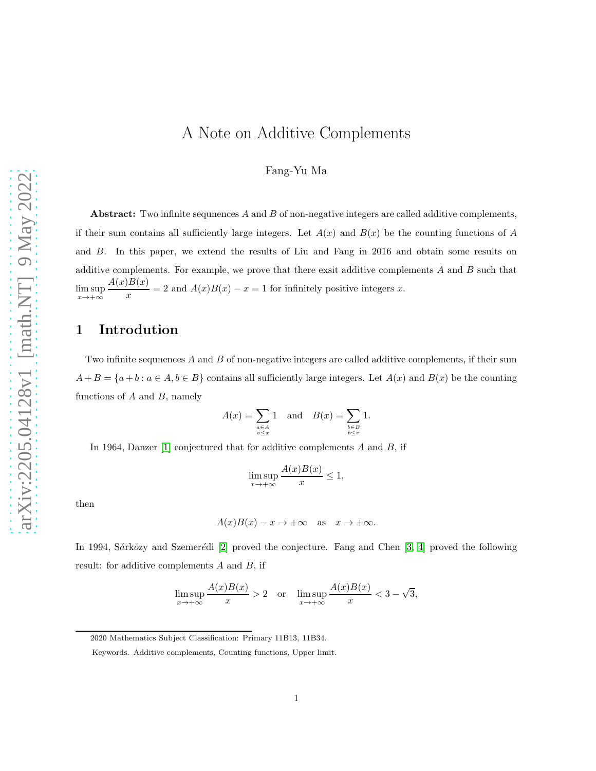## A Note on Additive Complements

Fang-Yu Ma

Abstract: Two infinite sequnences  $A$  and  $B$  of non-negative integers are called additive complements, if their sum contains all sufficiently large integers. Let  $A(x)$  and  $B(x)$  be the counting functions of A and B. In this paper, we extend the results of Liu and Fang in 2016 and obtain some results on additive complements. For example, we prove that there exsite additive complements  $A$  and  $B$  such that  $\limsup_{x\to+\infty}$  $A(x)B(x)$  $\frac{x^{(x)}(x)}{x}$  = 2 and  $A(x)B(x) - x = 1$  for infinitely positive integers x.

#### 1 Introdution

Two infinite sequnences A and B of non-negative integers are called additive complements, if their sum  $A + B = \{a + b : a \in A, b \in B\}$  contains all sufficiently large integers. Let  $A(x)$  and  $B(x)$  be the counting functions of  $A$  and  $B$ , namely

$$
A(x) = \sum_{\substack{a \in A \\ a \le x}} 1 \quad \text{and} \quad B(x) = \sum_{\substack{b \in B \\ b \le x}} 1.
$$

In 1964, Danzer [\[1\]](#page-10-0) conjectured that for additive complements  $A$  and  $B$ , if

$$
\limsup_{x \to +\infty} \frac{A(x)B(x)}{x} \le 1,
$$

then

$$
A(x)B(x) - x \to +\infty
$$
 as  $x \to +\infty$ .

In 1994, Sárközy and Szemerédi [\[2\]](#page-10-1) proved the conjecture. Fang and Chen  $[3, 4]$  $[3, 4]$  proved the following result: for additive complements A and B, if

$$
\limsup_{x \to +\infty} \frac{A(x)B(x)}{x} > 2 \quad \text{or} \quad \limsup_{x \to +\infty} \frac{A(x)B(x)}{x} < 3 - \sqrt{3},
$$

<sup>2020</sup> Mathematics Subject Classification: Primary 11B13, 11B34.

Keywords. Additive complements, Counting functions, Upper limit.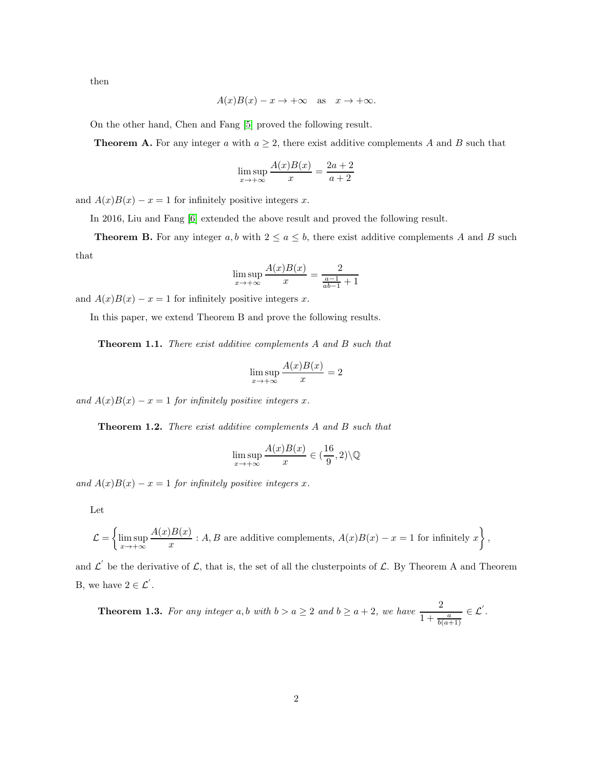then

$$
A(x)B(x) - x \to +\infty
$$
 as  $x \to +\infty$ .

On the other hand, Chen and Fang [\[5\]](#page-10-4) proved the following result.

**Theorem A.** For any integer a with  $a \geq 2$ , there exist additive complements A and B such that

$$
\limsup_{x \to +\infty} \frac{A(x)B(x)}{x} = \frac{2a+2}{a+2}
$$

and  $A(x)B(x) - x = 1$  for infinitely positive integers x.

In 2016, Liu and Fang [\[6\]](#page-10-5) extended the above result and proved the following result.

**Theorem B.** For any integer a, b with  $2 \le a \le b$ , there exist additive complements A and B such that

$$
\limsup_{x \to +\infty} \frac{A(x)B(x)}{x} = \frac{2}{\frac{a-1}{ab-1}+1}
$$

and  $A(x)B(x) - x = 1$  for infinitely positive integers x.

In this paper, we extend Theorem B and prove the following results.

Theorem 1.1. There exist additive complements A and B such that

$$
\limsup_{x \to +\infty} \frac{A(x)B(x)}{x} = 2
$$

and  $A(x)B(x) - x = 1$  for infinitely positive integers x.

Theorem 1.2. There exist additive complements A and B such that

$$
\limsup_{x \to +\infty} \frac{A(x)B(x)}{x} \in (\frac{16}{9}, 2) \backslash \mathbb{Q}
$$

and  $A(x)B(x) - x = 1$  for infinitely positive integers x.

Let

$$
\mathcal{L} = \left\{ \limsup_{x \to +\infty} \frac{A(x)B(x)}{x} : A, B \text{ are additive complements, } A(x)B(x) - x = 1 \text{ for infinitely } x \right\},\
$$

and  $\mathcal{L}'$  be the derivative of  $\mathcal{L}$ , that is, the set of all the clusterpoints of  $\mathcal{L}$ . By Theorem A and Theorem B, we have  $2 \in \mathcal{L}'$ .

**Theorem 1.3.** For any integer 
$$
a, b
$$
 with  $b > a \ge 2$  and  $b \ge a + 2$ , we have  $\frac{2}{1 + \frac{a}{b(a+1)}} \in \mathcal{L}'$ .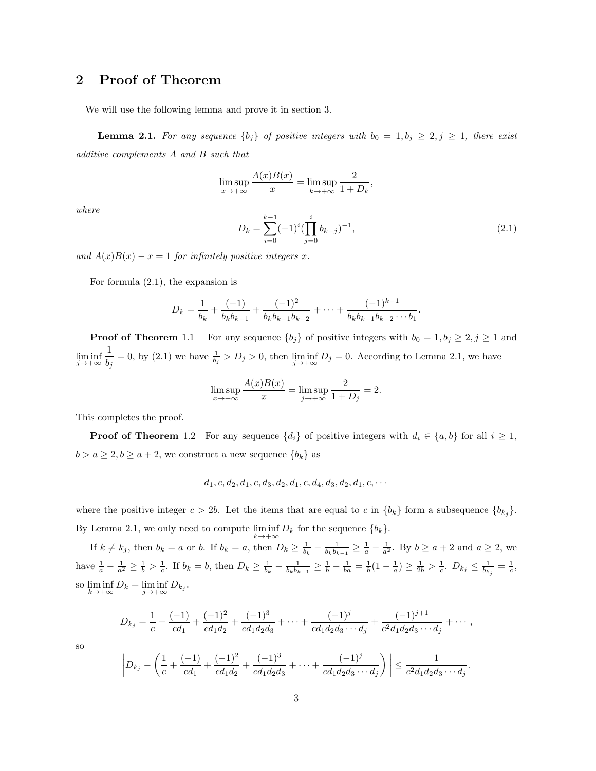#### 2 Proof of Theorem

We will use the following lemma and prove it in section 3.

**Lemma 2.1.** For any sequence  $\{b_j\}$  of positive integers with  $b_0 = 1, b_j \geq 2, j \geq 1$ , there exist additive complements A and B such that

$$
\limsup_{x \to +\infty} \frac{A(x)B(x)}{x} = \limsup_{k \to +\infty} \frac{2}{1 + D_k},
$$

where

$$
D_k = \sum_{i=0}^{k-1} (-1)^i (\prod_{j=0}^i b_{k-j})^{-1},
$$
\n(2.1)

.

.

and  $A(x)B(x) - x = 1$  for infinitely positive integers x.

For formula (2.1), the expansion is

$$
D_k = \frac{1}{b_k} + \frac{(-1)}{b_k b_{k-1}} + \frac{(-1)^2}{b_k b_{k-1} b_{k-2}} + \dots + \frac{(-1)^{k-1}}{b_k b_{k-1} b_{k-2} \cdots b_1}
$$

**Proof of Theorem** 1.1 For any sequence  $\{b_j\}$  of positive integers with  $b_0 = 1, b_j \geq 2, j \geq 1$  and  $\liminf_{j \to +\infty}$ 1  $\frac{1}{b_j} = 0$ , by (2.1) we have  $\frac{1}{b_j} > D_j > 0$ , then  $\liminf_{j \to +\infty} D_j = 0$ . According to Lemma 2.1, we have

$$
\limsup_{x \to +\infty} \frac{A(x)B(x)}{x} = \limsup_{j \to +\infty} \frac{2}{1+D_j} = 2.
$$

This completes the proof.

**Proof of Theorem** 1.2 For any sequence  $\{d_i\}$  of positive integers with  $d_i \in \{a, b\}$  for all  $i \geq 1$ ,  $b > a \geq 2, b \geq a + 2$ , we construct a new sequence  ${b_k}$  as

$$
d_1, c, d_2, d_1, c, d_3, d_2, d_1, c, d_4, d_3, d_2, d_1, c, \cdots
$$

where the positive integer  $c > 2b$ . Let the items that are equal to c in  $\{b_k\}$  form a subsequence  $\{b_{k_j}\}.$ By Lemma 2.1, we only need to compute  $\liminf_{k \to +\infty} D_k$  for the sequence  $\{b_k\}$ .

If  $k \neq k_j$ , then  $b_k = a$  or b. If  $b_k = a$ , then  $D_k \geq \frac{1}{b_k} - \frac{1}{b_k b_{k-1}} \geq \frac{1}{a} - \frac{1}{a^2}$ . By  $b \geq a+2$  and  $a \geq 2$ , we have  $\frac{1}{a} - \frac{1}{a^2} \ge \frac{1}{b} > \frac{1}{c}$ . If  $b_k = b$ , then  $D_k \ge \frac{1}{b_k} - \frac{1}{b_k b_{k-1}} \ge \frac{1}{b} - \frac{1}{ba} = \frac{1}{b} (1 - \frac{1}{a}) \ge \frac{1}{2b} > \frac{1}{c}$ .  $D_{k_j} \le \frac{1}{b_{k_j}} = \frac{1}{c}$ , so  $\liminf_{k \to +\infty} D_k = \liminf_{j \to +\infty} D_{k_j}$ .

$$
D_{k_j} = \frac{1}{c} + \frac{(-1)}{cd_1} + \frac{(-1)^2}{cd_1d_2} + \frac{(-1)^3}{cd_1d_2d_3} + \cdots + \frac{(-1)^j}{cd_1d_2d_3\cdots d_j} + \frac{(-1)^{j+1}}{c^2d_1d_2d_3\cdots d_j} + \cdots,
$$

so

$$
\left| D_{k_j} - \left( \frac{1}{c} + \frac{(-1)}{cd_1} + \frac{(-1)^2}{cd_1d_2} + \frac{(-1)^3}{cd_1d_2d_3} + \dots + \frac{(-1)^j}{cd_1d_2d_3\cdots d_j} \right) \right| \le \frac{1}{c^2d_1d_2d_3\cdots d_j}
$$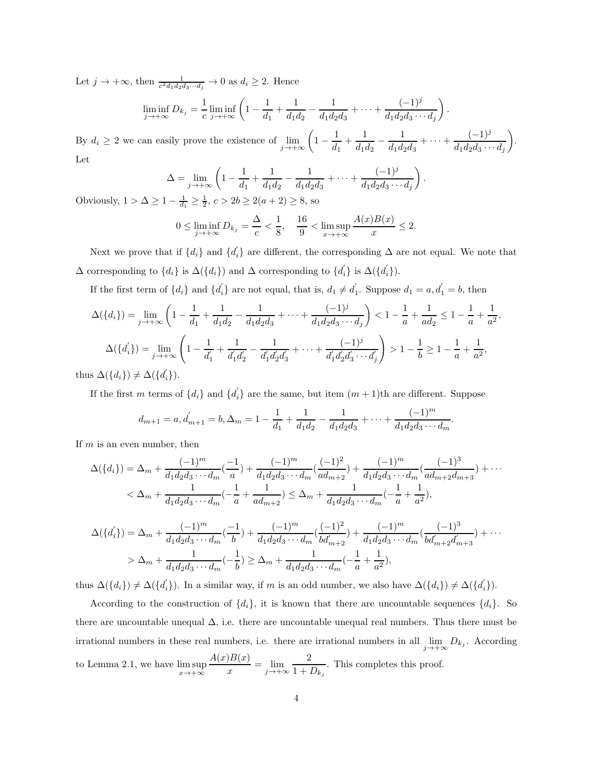Let  $j \to +\infty$ , then  $\frac{1}{c^2 d_1 d_2 d_3 \cdots d_j} \to 0$  as  $d_i \geq 2$ . Hence

$$
\liminf_{j \to +\infty} D_{k_j} = \frac{1}{c} \liminf_{j \to +\infty} \left( 1 - \frac{1}{d_1} + \frac{1}{d_1 d_2} - \frac{1}{d_1 d_2 d_3} + \dots + \frac{(-1)^j}{d_1 d_2 d_3 \cdots d_j} \right).
$$

By  $d_i \geq 2$  we can easily prove the existence of  $\lim_{j \to +\infty}$  $\left(1-\frac{1}{d_1}\right)$  $\frac{1}{d_1} + \frac{1}{d_1}$  $\overline{d_1d_2}$  – 1  $\frac{1}{d_1d_2d_3} + \cdots + \frac{(-1)^j}{d_1d_2d_3\cdots}$  $d_1d_2d_3\cdots d_j$  . Let

$$
\Delta = \lim_{j \to +\infty} \left( 1 - \frac{1}{d_1} + \frac{1}{d_1 d_2} - \frac{1}{d_1 d_2 d_3} + \dots + \frac{(-1)^j}{d_1 d_2 d_3 \cdots d_j} \right).
$$

Obviously,  $1 > \Delta \ge 1 - \frac{1}{d_1} \ge \frac{1}{2}$ ,  $c > 2b \ge 2(a+2) \ge 8$ , so

$$
0 \le \liminf_{j \to +\infty} D_{k_j} = \frac{\Delta}{c} < \frac{1}{8}, \quad \frac{16}{9} < \limsup_{x \to +\infty} \frac{A(x)B(x)}{x} \le 2.
$$

Next we prove that if  $\{d_i\}$  and  $\{d_i\}$  are different, the corresponding  $\Delta$  are not equal. We note that  $\Delta$  corresponding to  $\{d_i\}$  is  $\Delta({d_i})$  and  $\Delta$  corresponding to  $\{d_i\}$  is  $\Delta({d_i'})$ .

If the first term of  $\{d_i\}$  and  $\{d_i\}$  are not equal, that is,  $d_1 \neq d_1'$ . Suppose  $d_1 = a, d_1' = b$ , then

$$
\Delta(\{d_i\}) = \lim_{j \to +\infty} \left( 1 - \frac{1}{d_1} + \frac{1}{d_1 d_2} - \frac{1}{d_1 d_2 d_3} + \dots + \frac{(-1)^j}{d_1 d_2 d_3 \cdots d_j} \right) < 1 - \frac{1}{a} + \frac{1}{a d_2} \le 1 - \frac{1}{a} + \frac{1}{a^2},
$$
\n
$$
\Delta(\{d_i'\}) = \lim_{j \to +\infty} \left( 1 - \frac{1}{d_1'} + \frac{1}{d_1' d_2'} - \frac{1}{d_1' d_2' d_3'} + \dots + \frac{(-1)^j}{d_1' d_2' d_3' \cdots d_j'} \right) > 1 - \frac{1}{b} \ge 1 - \frac{1}{a} + \frac{1}{a^2},
$$
\n
$$
\Delta(\{d_i\}) \neq \Delta(\{d_i'\}).
$$

thus  $\Delta({d_i}) \neq \Delta({d_i}).$ 

If the first m terms of  $\{d_i\}$  and  $\{d_i\}$  are the same, but item  $(m+1)$ th are different. Suppose

$$
d_{m+1} = a, d'_{m+1} = b, \Delta_m = 1 - \frac{1}{d_1} + \frac{1}{d_1 d_2} - \frac{1}{d_1 d_2 d_3} + \dots + \frac{(-1)^m}{d_1 d_2 d_3 \cdots d_m}
$$

.

If  $m$  is an even number, then

$$
\Delta(\lbrace d_i \rbrace) = \Delta_m + \frac{(-1)^m}{d_1 d_2 d_3 \cdots d_m} \left(\frac{-1}{a}\right) + \frac{(-1)^m}{d_1 d_2 d_3 \cdots d_m} \left(\frac{(-1)^2}{ad_{m+2}}\right) + \frac{(-1)^m}{d_1 d_2 d_3 \cdots d_m} \left(\frac{(-1)^3}{ad_{m+2} d_{m+3}}\right) + \cdots
$$
  

$$
< \Delta_m + \frac{1}{d_1 d_2 d_3 \cdots d_m} \left(-\frac{1}{a} + \frac{1}{ad_{m+2}}\right) \le \Delta_m + \frac{1}{d_1 d_2 d_3 \cdots d_m} \left(-\frac{1}{a} + \frac{1}{a^2}\right),
$$
  

$$
\Delta(\lbrace d'_i \rbrace) = \Delta_m + \frac{(-1)^m}{d_1 d_2 d_3 \cdots d_m} \left(-\frac{1}{b}\right) + \frac{(-1)^m}{d_1 d_2 d_3 \cdots d_m} \left(\frac{(-1)^2}{b d'_{m+2}}\right) + \frac{(-1)^m}{d_1 d_2 d_3 \cdots d_m} \left(\frac{(-1)^3}{b d'_{m+2} d_{m+3}}\right) + \cdots
$$
  

$$
> \Delta_m + \frac{1}{d_1 d_2 d_3 \cdots d_m} \left(-\frac{1}{b}\right) \ge \Delta_m + \frac{1}{d_1 d_2 d_3 \cdots d_m} \left(-\frac{1}{a} + \frac{1}{a^2}\right),
$$

 $\frac{1}{a^2}$ ),

thus  $\Delta({d_i}) \neq \Delta({d'_i})$ . In a similar way, if m is an odd number, we also have  $\Delta({{d_i}}) \neq \Delta({d'_i})$ .

According to the construction of  $\{d_i\}$ , it is known that there are uncountable sequences  $\{d_i\}$ . So there are uncountable unequal  $\Delta$ , i.e. there are uncountable unequal real numbers. Thus there must be irrational numbers in these real numbers, i.e. there are irrational numbers in all  $\lim_{j\to+\infty} D_{k_j}$ . According to Lemma 2.1, we have  $\limsup_{x \to +\infty}$  $A(x)B(x)$  $\frac{y}{x} = \lim_{j \to +\infty}$ 2  $\frac{1}{1 + D_{k_j}}$ . This completes this proof.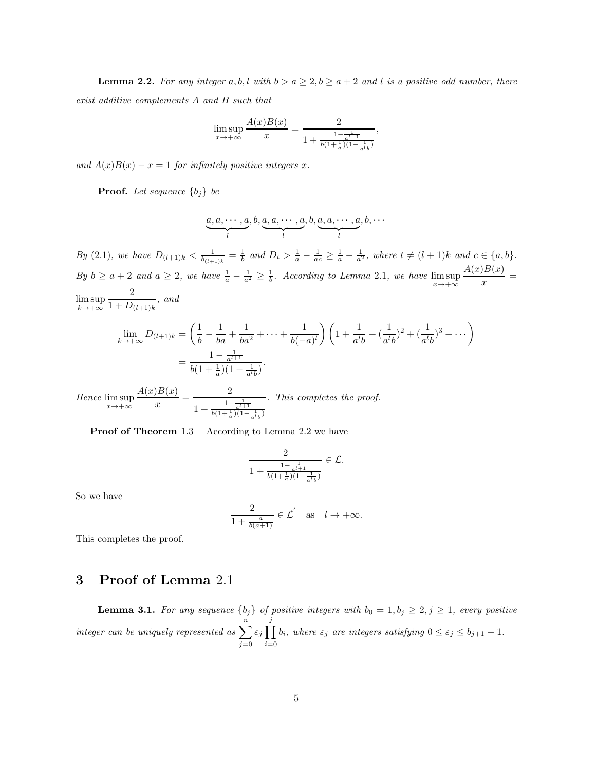**Lemma 2.2.** For any integer a, b, l with  $b > a \ge 2$ ,  $b \ge a + 2$  and l is a positive odd number, there exist additive complements A and B such that

$$
\limsup_{x \to +\infty} \frac{A(x)B(x)}{x} = \frac{2}{1 + \frac{1 - \frac{1}{a^{l+1}}}{b(1 + \frac{1}{a})(1 - \frac{1}{a^{l+1}})}},
$$

and  $A(x)B(x) - x = 1$  for infinitely positive integers x.

**Proof.** Let sequence  $\{b_j\}$  be

$$
\underbrace{a, a, \cdots, a}_{l}, b, \underbrace{a, a, \cdots, a}_{l}, b, \underbrace{a, a, \cdots, a}_{l}, b, \cdots
$$

By (2.1), we have  $D_{(l+1)k} < \frac{1}{b_{(l+1)k}} = \frac{1}{b}$  and  $D_t > \frac{1}{a} - \frac{1}{ac} \geq \frac{1}{a} - \frac{1}{a^2}$ , where  $t \neq (l+1)k$  and  $c \in \{a, b\}$ . By  $b \ge a+2$  and  $a \ge 2$ , we have  $\frac{1}{a} - \frac{1}{a^2} \ge \frac{1}{b}$ . According to Lemma 2.1, we have  $\limsup_{x \to +\infty}$  $A(x)B(x)$  $\frac{f(x,y)}{x} =$  $\limsup_{k \to +\infty}$ 2  $\frac{1}{1 + D_{(l+1)k}}$ , and

$$
\lim_{k \to +\infty} D_{(l+1)k} = \left(\frac{1}{b} - \frac{1}{ba} + \frac{1}{ba^2} + \dots + \frac{1}{b(-a)^l}\right) \left(1 + \frac{1}{a^l b} + \left(\frac{1}{a^l b}\right)^2 + \left(\frac{1}{a^l b}\right)^3 + \dots\right)
$$

$$
= \frac{1 - \frac{1}{a^l + 1}}{b(1 + \frac{1}{a})(1 - \frac{1}{a^l b})}.
$$

Hence  $\limsup_{x\to+\infty}$  $A(x)B(x)$  $\frac{1}{x}B(x)}{1+\frac{2}{1+\frac{1}{x}}$  $1 + \frac{1 - \frac{1}{a^{l+1}}}{b(1 + \frac{1}{a})(1 - \frac{1}{a^l b})}$ . This completes the proof.

Proof of Theorem 1.3 According to Lemma 2.2 we have

$$
\frac{2}{1 + \frac{1 - \frac{1}{a^{l+1}}}{b(1 + \frac{1}{a})(1 - \frac{1}{a^{l}b})}} \in \mathcal{L}.
$$

So we have

$$
\frac{2}{1+\frac{a}{b(a+1)}} \in \mathcal{L}' \quad \text{as} \quad l \to +\infty.
$$

This completes the proof.

### 3 Proof of Lemma 2.1

**Lemma 3.1.** For any sequence  $\{b_j\}$  of positive integers with  $b_0 = 1, b_j \geq 2, j \geq 1$ , every positive integer can be uniquely represented as  $\sum_{n=1}^n$  $j=0$ ε<sub>j</sub>  $\prod^j$  $\prod_{i=0} b_i$ , where  $\varepsilon_j$  are integers satisfying  $0 \le \varepsilon_j \le b_{j+1} - 1$ .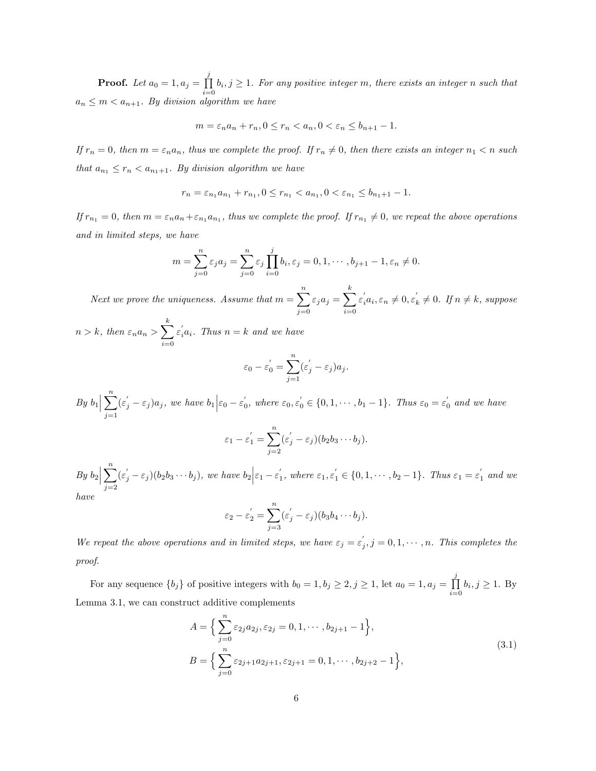**Proof.** Let  $a_0 = 1, a_j = \prod^j$  $\prod_{i=0} b_i, j \ge 1$ . For any positive integer m, there exists an integer n such that  $a_n \leq m < a_{n+1}$ . By division algorithm we have

$$
m = \varepsilon_n a_n + r_n, 0 \le r_n < a_n, 0 < \varepsilon_n \le b_{n+1} - 1.
$$

If  $r_n = 0$ , then  $m = \varepsilon_n a_n$ , thus we complete the proof. If  $r_n \neq 0$ , then there exists an integer  $n_1 < n$  such that  $a_{n_1} \leq r_n < a_{n_1+1}$ . By division algorithm we have

$$
r_n = \varepsilon_{n_1} a_{n_1} + r_{n_1}, 0 \le r_{n_1} < a_{n_1}, 0 < \varepsilon_{n_1} \le b_{n_1+1} - 1.
$$

If  $r_{n_1} = 0$ , then  $m = \varepsilon_n a_n + \varepsilon_{n_1} a_{n_1}$ , thus we complete the proof. If  $r_{n_1} \neq 0$ , we repeat the above operations and in limited steps, we have

$$
m = \sum_{j=0}^{n} \varepsilon_j a_j = \sum_{j=0}^{n} \varepsilon_j \prod_{i=0}^{j} b_i, \varepsilon_j = 0, 1, \cdots, b_{j+1} - 1, \varepsilon_n \neq 0.
$$

Next we prove the uniqueness. Assume that  $m = \sum_{n=1}^{n}$  $j=0$  $\varepsilon_j a_j = \sum^k$  $i=0$  $\varepsilon_i^{'}a_i, \varepsilon_n \neq 0, \varepsilon_i^{'}$  $k \neq 0$ . If  $n \neq k$ , suppose

 $n > k$ , then  $\varepsilon_n a_n > \sum_{n=1}^k$  $i=0$  $\varepsilon_i^{'a_i}$ . Thus  $n = k$  and we have

$$
\varepsilon_0 - \varepsilon_0' = \sum_{j=1}^n (\varepsilon_j' - \varepsilon_j) a_j.
$$

By 
$$
b_1 \Big| \sum_{j=1}^n (\varepsilon_j' - \varepsilon_j) a_j
$$
, we have  $b_1 \Big| \varepsilon_0 - \varepsilon_0'$ , where  $\varepsilon_0, \varepsilon_0' \in \{0, 1, \dots, b_1 - 1\}$ . Thus  $\varepsilon_0 = \varepsilon_0'$  and we have  

$$
\varepsilon_1 - \varepsilon_1' = \sum_{j=1}^n (\varepsilon_j' - \varepsilon_j) (b_2 b_3 \cdots b_j).
$$

 $j=2$ 

By 
$$
b_2 \Big| \sum_{j=2}^n (\varepsilon_j' - \varepsilon_j)(b_2b_3 \cdots b_j)
$$
, we have  $b_2 \Big| \varepsilon_1 - \varepsilon_1'$ , where  $\varepsilon_1, \varepsilon_1' \in \{0, 1, \dots, b_2 - 1\}$ . Thus  $\varepsilon_1 = \varepsilon_1'$  and we have

$$
\varepsilon_2 - \varepsilon_2' = \sum_{j=3}^n (\varepsilon_j' - \varepsilon_j)(b_3b_4 \cdots b_j).
$$

We repeat the above operations and in limited steps, we have  $\varepsilon_j = \varepsilon'_j$ ,  $j = 0, 1, \dots, n$ . This completes the proof.

For any sequence  $\{b_j\}$  of positive integers with  $b_0 = 1, b_j \ge 2, j \ge 1$ , let  $a_0 = 1, a_j = \prod_{j=1}^j$  $\prod_{i=0} b_i, j \geq 1$ . By Lemma 3.1, we can construct additive complements

$$
A = \left\{ \sum_{j=0}^{n} \varepsilon_{2j} a_{2j}, \varepsilon_{2j} = 0, 1, \cdots, b_{2j+1} - 1 \right\},\
$$
  
\n
$$
B = \left\{ \sum_{j=0}^{n} \varepsilon_{2j+1} a_{2j+1}, \varepsilon_{2j+1} = 0, 1, \cdots, b_{2j+2} - 1 \right\},\
$$
  
\n(3.1)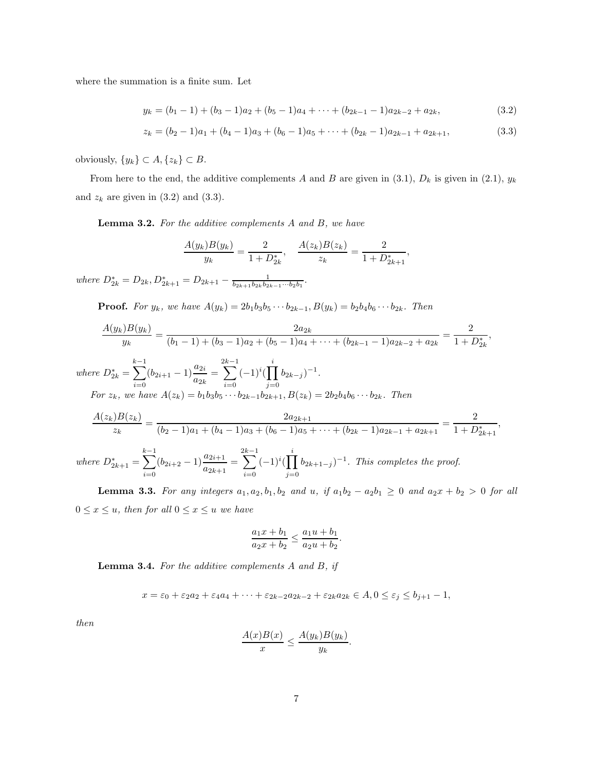where the summation is a finite sum. Let

$$
y_k = (b_1 - 1) + (b_3 - 1)a_2 + (b_5 - 1)a_4 + \dots + (b_{2k-1} - 1)a_{2k-2} + a_{2k},
$$
\n(3.2)

$$
z_k = (b_2 - 1)a_1 + (b_4 - 1)a_3 + (b_6 - 1)a_5 + \dots + (b_{2k} - 1)a_{2k-1} + a_{2k+1},
$$
\n(3.3)

obviously,  $\{y_k\} \subset A, \{z_k\} \subset B$ .

From here to the end, the additive complements A and B are given in (3.1),  $D_k$  is given in (2.1),  $y_k$ and  $z_k$  are given in  $(3.2)$  and  $(3.3)$ .

Lemma 3.2. For the additive complements A and B, we have

$$
\frac{A(y_k)B(y_k)}{y_k} = \frac{2}{1 + D_{2k}^*}, \quad \frac{A(z_k)B(z_k)}{z_k} = \frac{2}{1 + D_{2k+1}^*},
$$

where  $D_{2k}^* = D_{2k}, D_{2k+1}^* = D_{2k+1} - \frac{1}{b_{2k+1}b_{2k}b_{2k-1}\cdots b_2b_1}.$ 

**Proof.** For  $y_k$ , we have  $A(y_k) = 2b_1b_3b_5 \cdots b_{2k-1}$ ,  $B(y_k) = b_2b_4b_6 \cdots b_{2k}$ . Then

$$
\frac{A(y_k)B(y_k)}{y_k} = \frac{2a_{2k}}{(b_1 - 1) + (b_3 - 1)a_2 + (b_5 - 1)a_4 + \dots + (b_{2k-1} - 1)a_{2k-2} + a_{2k}} = \frac{2}{1 + D_{2k}^*},
$$

where  $D_{2k}^* =$  $\sum^{k-1}$  $\sum_{i=0}^{k-1} (b_{2i+1} - 1) \frac{a_{2i}}{a_{2k}} =$  $\sum^{2k-1}$  $\sum_{i=0}^{k-1} (-1)^i (\prod_{j=0}^i$  $j=0$  $(b_{2k-j})^{-1}$ . For  $z_k$ , we have  $A(z_k) = b_1b_3b_5 \cdots b_{2k-1}b_{2k+1}, B(z_k) = 2b_2b_4b_6 \cdots b_{2k}$ . Then

$$
\frac{A(z_k)B(z_k)}{z_k} = \frac{2a_{2k+1}}{(b_2 - 1)a_1 + (b_4 - 1)a_3 + (b_6 - 1)a_5 + \dots + (b_{2k} - 1)a_{2k-1} + a_{2k+1}} = \frac{2}{1 + D_{2k+1}^*},
$$
  
where  $D_{2k+1}^* = \sum_{i=0}^{k-1} (b_{2i+2} - 1) \frac{a_{2i+1}}{a_{2k+1}} = \sum_{i=0}^{2k-1} (-1)^i (\prod_{j=0}^i b_{2k+1-j})^{-1}$ . This completes the proof.

**Lemma 3.3.** For any integers  $a_1, a_2, b_1, b_2$  and  $u$ , if  $a_1b_2 - a_2b_1 \geq 0$  and  $a_2x + b_2 > 0$  for all  $0 \leq x \leq u$ , then for all  $0 \leq x \leq u$  we have

$$
\frac{a_1x + b_1}{a_2x + b_2} \le \frac{a_1u + b_1}{a_2u + b_2}.
$$

**Lemma 3.4.** For the additive complements  $A$  and  $B$ , if

$$
x = \varepsilon_0 + \varepsilon_2 a_2 + \varepsilon_4 a_4 + \dots + \varepsilon_{2k-2} a_{2k-2} + \varepsilon_{2k} a_{2k} \in A, 0 \le \varepsilon_j \le b_{j+1} - 1,
$$

then

$$
\frac{A(x)B(x)}{x} \le \frac{A(y_k)B(y_k)}{y_k}.
$$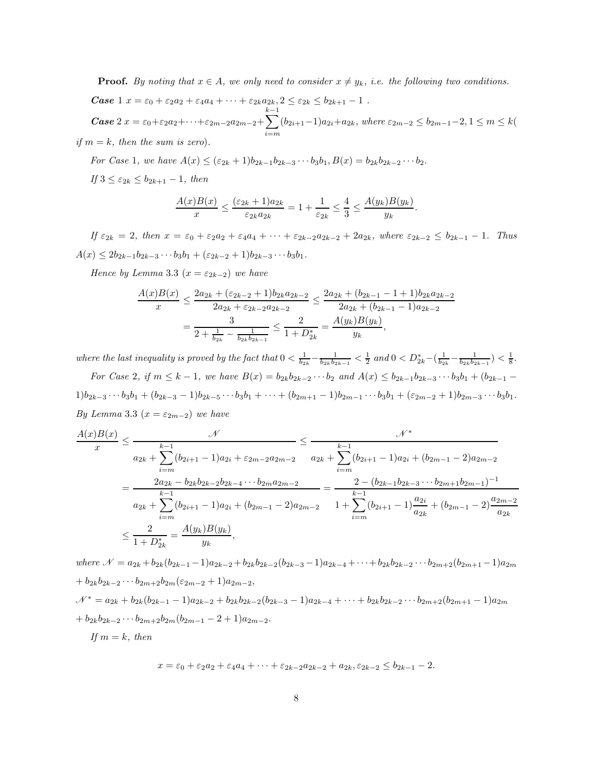**Proof.** By noting that  $x \in A$ , we only need to consider  $x \neq y_k$ , i.e. the following two conditions. **Case** 1  $x = \varepsilon_0 + \varepsilon_2 a_2 + \varepsilon_4 a_4 + \cdots + \varepsilon_{2k} a_{2k}, 2 \leq \varepsilon_{2k} \leq b_{2k+1} - 1$ . Case 2  $x = \varepsilon_0 + \varepsilon_2 a_2 + \cdots + \varepsilon_{2m-2} a_{2m-2} +$  $\sum^{k-1}$  $\sum_{i=m} (b_{2i+1}-1)a_{2i}+a_{2k}$ , where  $\varepsilon_{2m-2} \leq b_{2m-1}-2, 1 \leq m \leq k$ if  $m = k$ , then the sum is zero).

For Case 1, we have  $A(x) \leq (\varepsilon_{2k} + 1)b_{2k-1}b_{2k-3}\cdots b_3b_1, B(x) = b_{2k}b_{2k-2}\cdots b_2.$ 

If  $3 \leq \varepsilon_{2k} \leq b_{2k+1} - 1$ , then

$$
\frac{A(x)B(x)}{x} \le \frac{(\varepsilon_{2k} + 1)a_{2k}}{\varepsilon_{2k}a_{2k}} = 1 + \frac{1}{\varepsilon_{2k}} \le \frac{4}{3} \le \frac{A(y_k)B(y_k)}{y_k}
$$

.

If  $\varepsilon_{2k} = 2$ , then  $x = \varepsilon_0 + \varepsilon_2 a_2 + \varepsilon_4 a_4 + \cdots + \varepsilon_{2k-2} a_{2k-2} + 2 a_{2k}$ , where  $\varepsilon_{2k-2} \leq b_{2k-1} - 1$ . Thus  $A(x) \leq 2b_{2k-1}b_{2k-3}\cdots b_3b_1 + (\varepsilon_{2k-2}+1)b_{2k-3}\cdots b_3b_1.$ 

Hence by Lemma 3.3 ( $x = \varepsilon_{2k-2}$ ) we have

$$
\frac{A(x)B(x)}{x} \le \frac{2a_{2k} + (\varepsilon_{2k-2} + 1)b_{2k}a_{2k-2}}{2a_{2k} + \varepsilon_{2k-2}a_{2k-2}} \le \frac{2a_{2k} + (b_{2k-1} - 1 + 1)b_{2k}a_{2k-2}}{2a_{2k} + (b_{2k-1} - 1)a_{2k-2}}
$$

$$
= \frac{3}{2 + \frac{1}{b_{2k}} - \frac{1}{b_{2k}b_{2k-1}}} \le \frac{2}{1 + D_{2k}^*} = \frac{A(y_k)B(y_k)}{y_k},
$$

where the last inequality is proved by the fact that  $0 < \frac{1}{b_{2k}} - \frac{1}{b_{2k}b_{2k-1}} < \frac{1}{2}$  and  $0 < D^*_{2k} - (\frac{1}{b_{2k}} - \frac{1}{b_{2k}b_{2k-1}}) < \frac{1}{8}$ .

For Case 2, if  $m \leq k - 1$ , we have  $B(x) = b_{2k}b_{2k-2}\cdots b_2$  and  $A(x) \leq b_{2k-1}b_{2k-3}\cdots b_3b_1 + (b_{2k-1}-b_{2k-2}b_{2k-2})$  $1)b_{2k-3}\cdots b_3b_1+(b_{2k-3}-1)b_{2k-5}\cdots b_3b_1+\cdots+(b_{2m+1}-1)b_{2m-1}\cdots b_3b_1+(\varepsilon_{2m-2}+1)b_{2m-3}\cdots b_3b_1$ By Lemma 3.3 ( $x = \varepsilon_{2m-2}$ ) we have

$$
\frac{A(x)B(x)}{x} \le \frac{\mathcal{N}^*}{a_{2k} + \sum_{i=m}^{k-1} (b_{2i+1} - 1)a_{2i} + \varepsilon_{2m-2}a_{2m-2}} = \frac{\mathcal{N}^*}{a_{2k} + \sum_{i=m}^{k-1} (b_{2i+1} - 1)a_{2i} + (b_{2m-1} - 2)a_{2m-2}}
$$
  
\n
$$
= \frac{2a_{2k} - b_{2k}b_{2k-2}b_{2k-4} \cdots b_{2m}a_{2m-2}}{a_{2k} + \sum_{i=m}^{k-1} (b_{2i+1} - 1)a_{2i} + (b_{2m-1} - 2)a_{2m-2}} = \frac{2 - (b_{2k-1}b_{2k-3} \cdots b_{2m+1}b_{2m-1})^{-1}}{1 + \sum_{i=m}^{k-1} (b_{2i+1} - 1)\frac{a_{2i}}{a_{2k}} + (b_{2m-1} - 2)\frac{a_{2m-2}}{a_{2k}}}
$$
  
\n
$$
\le \frac{2}{1 + D_{2k}^*} = \frac{A(y_k)B(y_k)}{y_k},
$$

where  $\mathcal{N} = a_{2k} + b_{2k}(b_{2k-1}-1)a_{2k-2} + b_{2k}b_{2k-2}(b_{2k-3}-1)a_{2k-4} + \cdots + b_{2k}b_{2k-2}\cdots b_{2m+2}(b_{2m+1}-1)a_{2m}$ +  $b_{2k}b_{2k-2}\cdots b_{2m+2}b_{2m}(\varepsilon_{2m-2}+1)a_{2m-2},$  $\mathcal{N}^* = a_{2k} + b_{2k}(b_{2k-1}-1)a_{2k-2} + b_{2k}b_{2k-2}(b_{2k-3}-1)a_{2k-4} + \cdots + b_{2k}b_{2k-2}\cdots b_{2m+2}(b_{2m+1}-1)a_{2m}$ +  $b_{2k}b_{2k-2}\cdots b_{2m+2}b_{2m}(b_{2m-1}-2+1)a_{2m-2}.$ If  $m = k$ , then

$$
x = \varepsilon_0 + \varepsilon_2 a_2 + \varepsilon_4 a_4 + \dots + \varepsilon_{2k-2} a_{2k-2} + a_{2k}, \varepsilon_{2k-2} \le b_{2k-1} - 2.
$$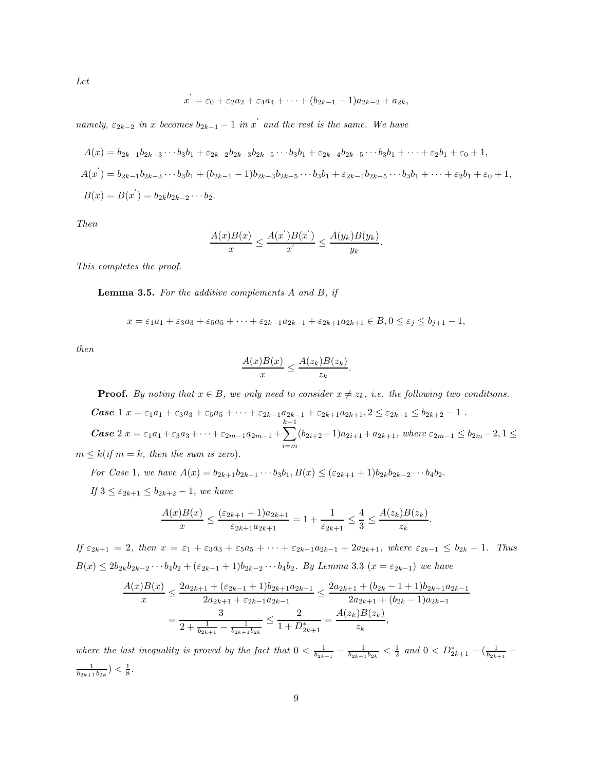Let

$$
x^{'} = \varepsilon_0 + \varepsilon_2 a_2 + \varepsilon_4 a_4 + \cdots + (b_{2k-1} - 1)a_{2k-2} + a_{2k},
$$

namely,  $\varepsilon_{2k-2}$  in x becomes  $b_{2k-1}-1$  in x' and the rest is the same. We have

$$
A(x) = b_{2k-1}b_{2k-3}\cdots b_3b_1 + \varepsilon_{2k-2}b_{2k-3}b_{2k-5}\cdots b_3b_1 + \varepsilon_{2k-4}b_{2k-5}\cdots b_3b_1 + \cdots + \varepsilon_2b_1 + \varepsilon_0 + 1,
$$
  
\n
$$
A(x') = b_{2k-1}b_{2k-3}\cdots b_3b_1 + (b_{2k-1}-1)b_{2k-3}b_{2k-5}\cdots b_3b_1 + \varepsilon_{2k-4}b_{2k-5}\cdots b_3b_1 + \cdots + \varepsilon_2b_1 + \varepsilon_0 + 1,
$$
  
\n
$$
B(x) = B(x') = b_{2k}b_{2k-2}\cdots b_2.
$$

Then

$$
\frac{A(x)B(x)}{x} \le \frac{A(x^{'})B(x^{'})}{x^{'}} \le \frac{A(y_k)B(y_k)}{y_k}.
$$

This completes the proof.

**Lemma 3.5.** For the additive complements  $A$  and  $B$ , if

$$
x = \varepsilon_1 a_1 + \varepsilon_3 a_3 + \varepsilon_5 a_5 + \dots + \varepsilon_{2k-1} a_{2k-1} + \varepsilon_{2k+1} a_{2k+1} \in B, 0 \le \varepsilon_j \le b_{j+1} - 1,
$$

then

$$
\frac{A(x)B(x)}{x} \le \frac{A(z_k)B(z_k)}{z_k}.
$$

**Proof.** By noting that  $x \in B$ , we only need to consider  $x \neq z_k$ , i.e. the following two conditions.

**Case**  $1 x = \varepsilon_1 a_1 + \varepsilon_3 a_3 + \varepsilon_5 a_5 + \cdots + \varepsilon_{2k-1} a_{2k-1} + \varepsilon_{2k+1} a_{2k+1}, 2 \leq \varepsilon_{2k+1} \leq b_{2k+2} - 1$ . Case 2  $x = \varepsilon_1 a_1 + \varepsilon_3 a_3 + \cdots + \varepsilon_{2m-1} a_{2m-1} +$  $\sum^{k-1}$  $\sum_{i=m} (b_{2i+2}-1)a_{2i+1} + a_{2k+1}$ , where  $\varepsilon_{2m-1} \leq b_{2m}-2, 1 \leq$  $m \leq k$  (if  $m = k$ , then the sum is zero).

For Case 1, we have  $A(x) = b_{2k+1}b_{2k-1} \cdots b_3b_1$ ,  $B(x) \leq (\varepsilon_{2k+1} + 1)b_{2k}b_{2k-2} \cdots b_4b_2$ . If  $3 \leq \varepsilon_{2k+1} \leq b_{2k+2} - 1$ , we have

$$
\frac{A(x)B(x)}{x} \le \frac{(\varepsilon_{2k+1} + 1)a_{2k+1}}{\varepsilon_{2k+1}a_{2k+1}} = 1 + \frac{1}{\varepsilon_{2k+1}} \le \frac{4}{3} \le \frac{A(z_k)B(z_k)}{z_k}.
$$

If  $\varepsilon_{2k+1} = 2$ , then  $x = \varepsilon_1 + \varepsilon_3 a_3 + \varepsilon_5 a_5 + \cdots + \varepsilon_{2k-1} a_{2k-1} + 2a_{2k+1}$ , where  $\varepsilon_{2k-1} \leq b_{2k} - 1$ . Thus  $B(x) \leq 2b_{2k}b_{2k-2}\cdots b_4b_2 + (\varepsilon_{2k-1}+1)b_{2k-2}\cdots b_4b_2$ . By Lemma 3.3  $(x = \varepsilon_{2k-1})$  we have

$$
\frac{A(x)B(x)}{x} \le \frac{2a_{2k+1} + (\varepsilon_{2k-1} + 1)b_{2k+1}a_{2k-1}}{2a_{2k+1} + \varepsilon_{2k-1}a_{2k-1}} \le \frac{2a_{2k+1} + (b_{2k} - 1 + 1)b_{2k+1}a_{2k-1}}{2a_{2k+1} + (b_{2k} - 1)a_{2k-1}}
$$

$$
= \frac{3}{2 + \frac{1}{b_{2k+1}} - \frac{1}{b_{2k+1}b_{2k}}} \le \frac{2}{1 + D_{2k+1}^*} = \frac{A(z_k)B(z_k)}{z_k},
$$

where the last inequality is proved by the fact that  $0 < \frac{1}{b_{2k+1}} - \frac{1}{b_{2k+1}b_{2k}} < \frac{1}{2}$  and  $0 < D^*_{2k+1} - (\frac{1}{b_{2k+1}} \frac{1}{b_{2k+1}b_{2k}}$ ) <  $\frac{1}{8}$ .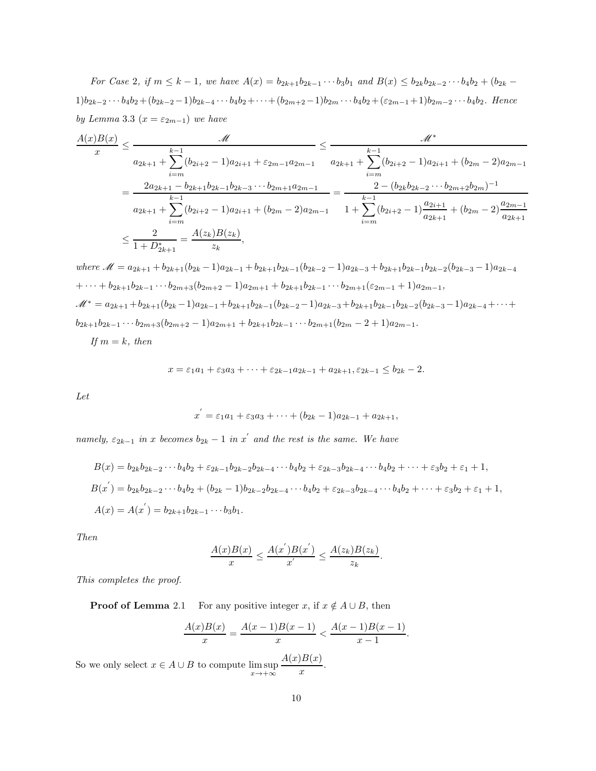For Case 2, if  $m \leq k - 1$ , we have  $A(x) = b_{2k+1}b_{2k-1} \cdots b_3b_1$  and  $B(x) \leq b_{2k}b_{2k-2} \cdots b_4b_2 + (b_{2k} - b_{2k})b_2b_3$  $1)b_{2k-2}\cdots b_4b_2+(b_{2k-2}-1)b_{2k-4}\cdots b_4b_2+\cdots+(b_{2m+2}-1)b_{2m}\cdots b_4b_2+ (\varepsilon_{2m-1}+1)b_{2m-2}\cdots b_4b_2$ . Hence by Lemma 3.3  $(x = \varepsilon_{2m-1})$  we have

$$
\frac{A(x)B(x)}{x} \le \frac{M}{a_{2k+1} + \sum_{i=m}^{k-1} (b_{2i+2} - 1)a_{2i+1} + \varepsilon_{2m-1}a_{2m-1}} \le \frac{M^*}{a_{2k+1} + \sum_{i=m}^{k-1} (b_{2i+2} - 1)a_{2i+1} + (b_{2m} - 2)a_{2m-1}}
$$
\n
$$
= \frac{2a_{2k+1} - b_{2k+1}b_{2k-1}b_{2k-3} \cdots b_{2m+1}a_{2m-1}}{a_{2k+1} + \sum_{i=m}^{k-1} (b_{2i+2} - 1)a_{2i+1} + (b_{2m} - 2)a_{2m-1}} \le \frac{2 - (b_{2k}b_{2k-2} \cdots b_{2m+2}b_{2m})^{-1}}{1 + \sum_{i=m}^{k-1} (b_{2i+2} - 1)\frac{a_{2i+1}}{a_{2k+1}} + (b_{2m} - 2)\frac{a_{2m-1}}{a_{2k+1}} \le \frac{2}{1 + D_{2k+1}^*} = \frac{A(z_k)B(z_k)}{z_k},
$$

where 
$$
\mathcal{M} = a_{2k+1} + b_{2k+1}(b_{2k} - 1)a_{2k-1} + b_{2k+1}b_{2k-1}(b_{2k-2} - 1)a_{2k-3} + b_{2k+1}b_{2k-1}b_{2k-2}(b_{2k-3} - 1)a_{2k-4}
$$
  
\n
$$
+ \cdots + b_{2k+1}b_{2k-1} \cdots b_{2m+3}(b_{2m+2} - 1)a_{2m+1} + b_{2k+1}b_{2k-1} \cdots b_{2m+1}(\varepsilon_{2m-1} + 1)a_{2m-1},
$$
  
\n
$$
\mathcal{M}^* = a_{2k+1} + b_{2k+1}(b_{2k} - 1)a_{2k-1} + b_{2k+1}b_{2k-1}(b_{2k-2} - 1)a_{2k-3} + b_{2k+1}b_{2k-1}b_{2k-2}(b_{2k-3} - 1)a_{2k-4} + \cdots +
$$
  
\n
$$
b_{2k+1}b_{2k-1} \cdots b_{2m+3}(b_{2m+2} - 1)a_{2m+1} + b_{2k+1}b_{2k-1} \cdots b_{2m+1}(b_{2m} - 2 + 1)a_{2m-1}.
$$
  
\nIf  $m = k$ , then

$$
x = \varepsilon_1 a_1 + \varepsilon_3 a_3 + \dots + \varepsilon_{2k-1} a_{2k-1} + a_{2k+1}, \varepsilon_{2k-1} \le b_{2k} - 2.
$$

Let

$$
x^{'} = \varepsilon_1 a_1 + \varepsilon_3 a_3 + \cdots + (b_{2k} - 1)a_{2k-1} + a_{2k+1},
$$

namely,  $\varepsilon_{2k-1}$  in x becomes  $b_{2k} - 1$  in x' and the rest is the same. We have

$$
B(x) = b_{2k}b_{2k-2}\cdots b_4b_2 + \varepsilon_{2k-1}b_{2k-2}b_{2k-4}\cdots b_4b_2 + \varepsilon_{2k-3}b_{2k-4}\cdots b_4b_2 + \cdots + \varepsilon_3b_2 + \varepsilon_1 + 1,
$$
  
\n
$$
B(x^{'}) = b_{2k}b_{2k-2}\cdots b_4b_2 + (b_{2k} - 1)b_{2k-2}b_{2k-4}\cdots b_4b_2 + \varepsilon_{2k-3}b_{2k-4}\cdots b_4b_2 + \cdots + \varepsilon_3b_2 + \varepsilon_1 + 1,
$$
  
\n
$$
A(x) = A(x^{'}) = b_{2k+1}b_{2k-1}\cdots b_3b_1.
$$

Then

$$
\frac{A(x)B(x)}{x} \le \frac{A(x^{'})B(x^{'})}{x^{'}} \le \frac{A(z_k)B(z_k)}{z_k}.
$$

This completes the proof.

**Proof of Lemma** 2.1 For any positive integer x, if  $x \notin A \cup B$ , then

$$
\frac{A(x)B(x)}{x} = \frac{A(x-1)B(x-1)}{x} < \frac{A(x-1)B(x-1)}{x-1}.
$$

So we only select  $x \in A \cup B$  to compute  $\limsup_{x \to +\infty}$  $A(x)B(x)$  $\frac{f(x)}{x}$ .